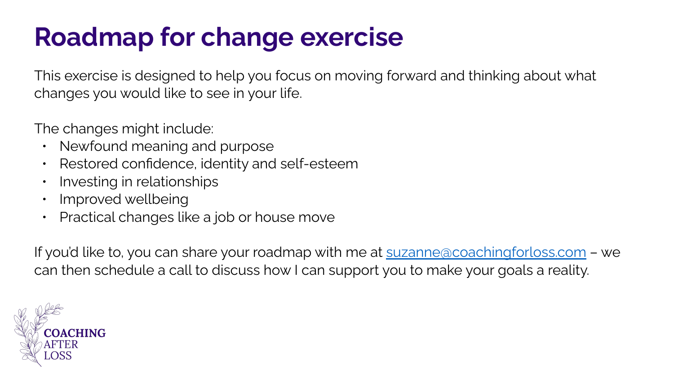## **Roadmap for change exercise**

This exercise is designed to help you focus on moving forward and thinking about what changes you would like to see in your life.

The changes might include:

- Newfound meaning and purpose
- Restored confidence, identity and self-esteem
- Investing in relationships
- Improved wellbeing
- Practical changes like a job or house move

If you'd like to, you can share your roadmap with me at [suzanne@coachingforloss.com](mailto:suzanne@coachingforloss.com) - we can then schedule a call to discuss how I can support you to make your goals a reality.

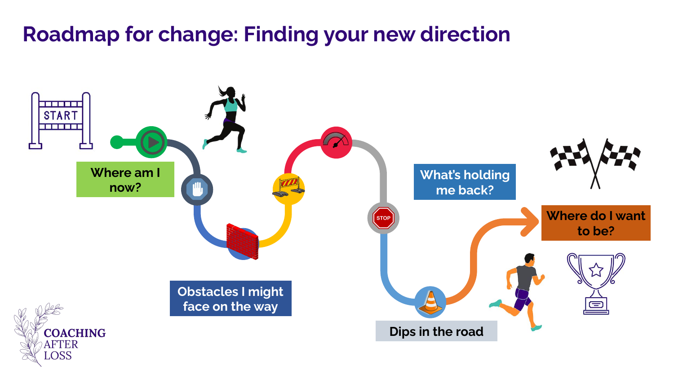## **Roadmap for change: Finding your new direction**

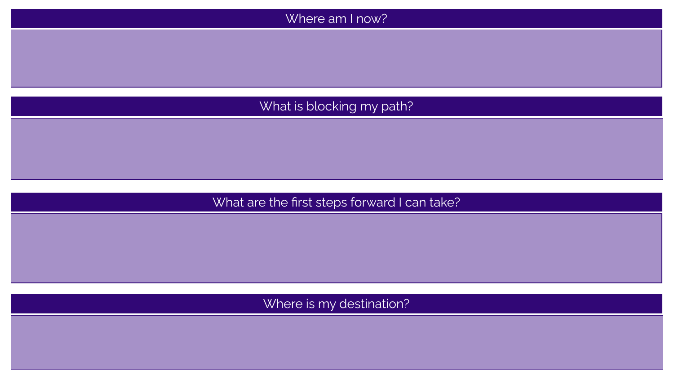

## What are the first steps forward I can take?

Where is my destination?